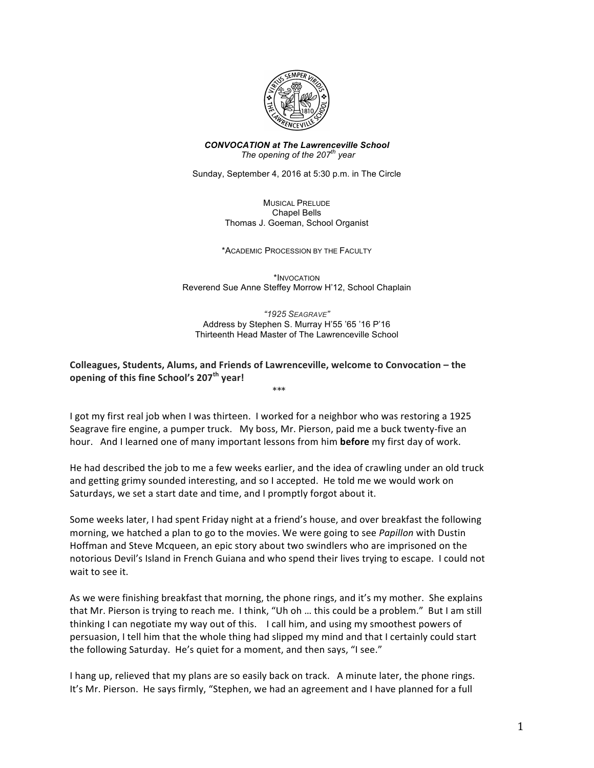

*CONVOCATION at The Lawrenceville School The opening of the 207th year*

Sunday, September 4, 2016 at 5:30 p.m. in The Circle

MUSICAL PRELUDE Chapel Bells Thomas J. Goeman, School Organist

\*ACADEMIC PROCESSION BY THE FACULTY

\*INVOCATION Reverend Sue Anne Steffey Morrow H'12, School Chaplain

*"1925 SEAGRAVE"* Address by Stephen S. Murray H'55 '65 '16 P'16 Thirteenth Head Master of The Lawrenceville School

# **Colleagues, Students, Alums, and Friends of Lawrenceville, welcome to Convocation – the opening of this fine School's 207<sup>th</sup> year!**

\*\*\*

I got my first real job when I was thirteen. I worked for a neighbor who was restoring a 1925 Seagrave fire engine, a pumper truck. My boss, Mr. Pierson, paid me a buck twenty-five an hour. And I learned one of many important lessons from him **before** my first day of work.

He had described the job to me a few weeks earlier, and the idea of crawling under an old truck and getting grimy sounded interesting, and so I accepted. He told me we would work on Saturdays, we set a start date and time, and I promptly forgot about it.

Some weeks later, I had spent Friday night at a friend's house, and over breakfast the following morning, we hatched a plan to go to the movies. We were going to see *Papillon* with Dustin Hoffman and Steve Mcqueen, an epic story about two swindlers who are imprisoned on the notorious Devil's Island in French Guiana and who spend their lives trying to escape. I could not wait to see it.

As we were finishing breakfast that morning, the phone rings, and it's my mother. She explains that Mr. Pierson is trying to reach me. I think, "Uh oh ... this could be a problem." But I am still thinking I can negotiate my way out of this. I call him, and using my smoothest powers of persuasion, I tell him that the whole thing had slipped my mind and that I certainly could start the following Saturday. He's quiet for a moment, and then says, "I see."

I hang up, relieved that my plans are so easily back on track. A minute later, the phone rings. It's Mr. Pierson. He says firmly, "Stephen, we had an agreement and I have planned for a full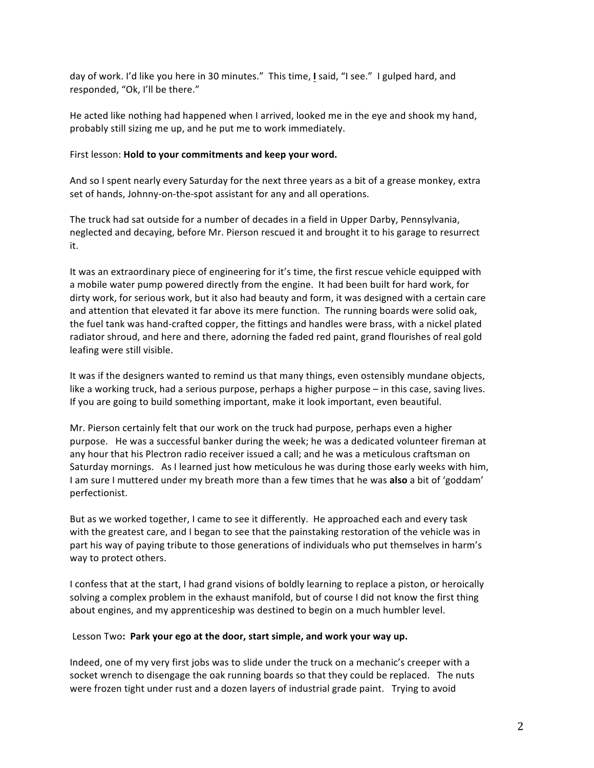day of work. I'd like you here in 30 minutes." This time, **I** said, "I see." I gulped hard, and responded, "Ok, I'll be there."

He acted like nothing had happened when I arrived, looked me in the eye and shook my hand, probably still sizing me up, and he put me to work immediately.

#### First lesson: **Hold to your commitments and keep your word.**

And so I spent nearly every Saturday for the next three years as a bit of a grease monkey, extra set of hands, Johnny-on-the-spot assistant for any and all operations.

The truck had sat outside for a number of decades in a field in Upper Darby, Pennsylvania, neglected and decaying, before Mr. Pierson rescued it and brought it to his garage to resurrect it. 

It was an extraordinary piece of engineering for it's time, the first rescue vehicle equipped with a mobile water pump powered directly from the engine. It had been built for hard work, for dirty work, for serious work, but it also had beauty and form, it was designed with a certain care and attention that elevated it far above its mere function. The running boards were solid oak, the fuel tank was hand-crafted copper, the fittings and handles were brass, with a nickel plated radiator shroud, and here and there, adorning the faded red paint, grand flourishes of real gold leafing were still visible.

It was if the designers wanted to remind us that many things, even ostensibly mundane objects, like a working truck, had a serious purpose, perhaps a higher purpose – in this case, saving lives. If you are going to build something important, make it look important, even beautiful.

Mr. Pierson certainly felt that our work on the truck had purpose, perhaps even a higher purpose. He was a successful banker during the week; he was a dedicated volunteer fireman at any hour that his Plectron radio receiver issued a call; and he was a meticulous craftsman on Saturday mornings. As I learned just how meticulous he was during those early weeks with him, I am sure I muttered under my breath more than a few times that he was also a bit of 'goddam' perfectionist. 

But as we worked together, I came to see it differently. He approached each and every task with the greatest care, and I began to see that the painstaking restoration of the vehicle was in part his way of paying tribute to those generations of individuals who put themselves in harm's way to protect others.

I confess that at the start, I had grand visions of boldly learning to replace a piston, or heroically solving a complex problem in the exhaust manifold, but of course I did not know the first thing about engines, and my apprenticeship was destined to begin on a much humbler level.

## Lesson Two: Park your ego at the door, start simple, and work your way up.

Indeed, one of my very first jobs was to slide under the truck on a mechanic's creeper with a socket wrench to disengage the oak running boards so that they could be replaced. The nuts were frozen tight under rust and a dozen layers of industrial grade paint. Trying to avoid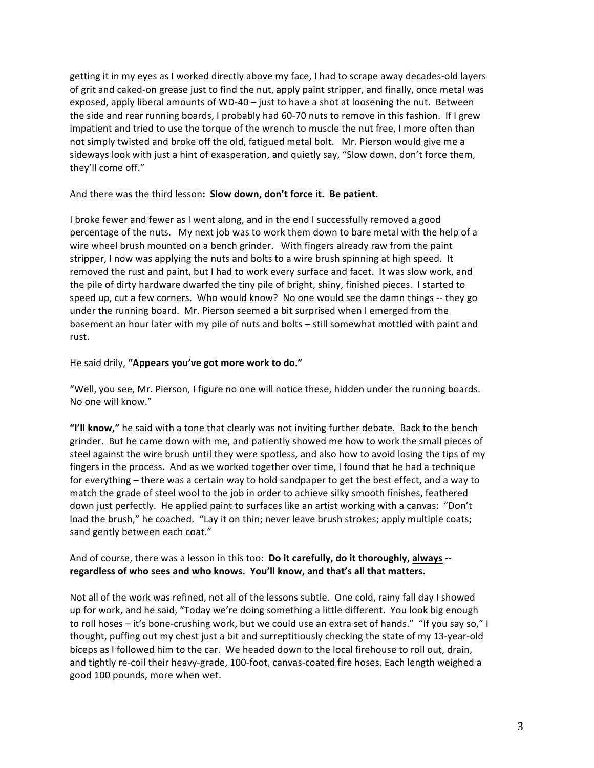getting it in my eyes as I worked directly above my face, I had to scrape away decades-old layers of grit and caked-on grease just to find the nut, apply paint stripper, and finally, once metal was exposed, apply liberal amounts of WD-40 – just to have a shot at loosening the nut. Between the side and rear running boards, I probably had 60-70 nuts to remove in this fashion. If I grew impatient and tried to use the torque of the wrench to muscle the nut free, I more often than not simply twisted and broke off the old, fatigued metal bolt. Mr. Pierson would give me a sideways look with just a hint of exasperation, and quietly say, "Slow down, don't force them, they'll come off."

## And there was the third lesson: Slow down, don't force it. Be patient.

I broke fewer and fewer as I went along, and in the end I successfully removed a good percentage of the nuts. My next job was to work them down to bare metal with the help of a wire wheel brush mounted on a bench grinder. With fingers already raw from the paint stripper, I now was applying the nuts and bolts to a wire brush spinning at high speed. It removed the rust and paint, but I had to work every surface and facet. It was slow work, and the pile of dirty hardware dwarfed the tiny pile of bright, shiny, finished pieces. I started to speed up, cut a few corners. Who would know? No one would see the damn things -- they go under the running board. Mr. Pierson seemed a bit surprised when I emerged from the basement an hour later with my pile of nuts and bolts – still somewhat mottled with paint and rust. 

## He said drily, "Appears you've got more work to do."

"Well, you see, Mr. Pierson, I figure no one will notice these, hidden under the running boards. No one will know."

"I'll know," he said with a tone that clearly was not inviting further debate. Back to the bench grinder. But he came down with me, and patiently showed me how to work the small pieces of steel against the wire brush until they were spotless, and also how to avoid losing the tips of my fingers in the process. And as we worked together over time, I found that he had a technique for everything – there was a certain way to hold sandpaper to get the best effect, and a way to match the grade of steel wool to the job in order to achieve silky smooth finishes, feathered down just perfectly. He applied paint to surfaces like an artist working with a canvas: "Don't load the brush," he coached. "Lay it on thin; never leave brush strokes; apply multiple coats; sand gently between each coat."

# And of course, there was a lesson in this too: Do it carefully, do it thoroughly, always -regardless of who sees and who knows. You'll know, and that's all that matters.

Not all of the work was refined, not all of the lessons subtle. One cold, rainy fall day I showed up for work, and he said, "Today we're doing something a little different. You look big enough to roll hoses - it's bone-crushing work, but we could use an extra set of hands." "If you say so," I thought, puffing out my chest just a bit and surreptitiously checking the state of my 13-year-old biceps as I followed him to the car. We headed down to the local firehouse to roll out, drain, and tightly re-coil their heavy-grade, 100-foot, canvas-coated fire hoses. Each length weighed a good 100 pounds, more when wet.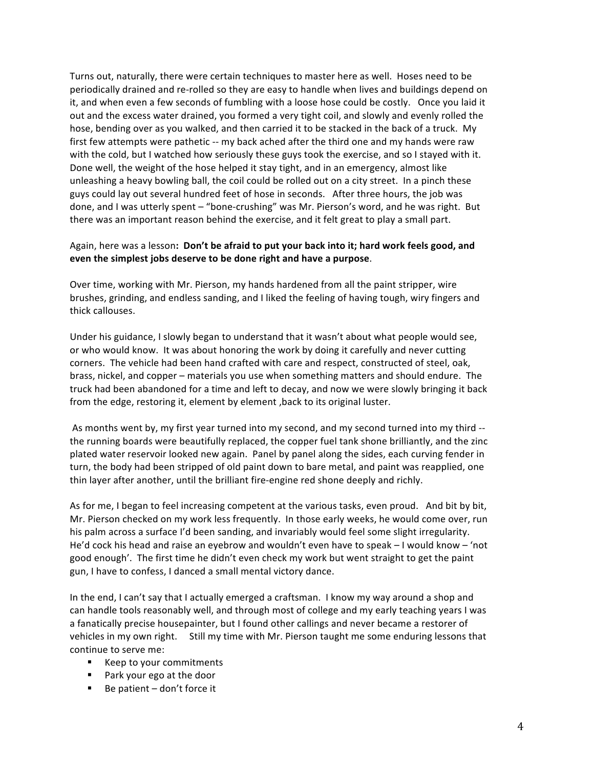Turns out, naturally, there were certain techniques to master here as well. Hoses need to be periodically drained and re-rolled so they are easy to handle when lives and buildings depend on it, and when even a few seconds of fumbling with a loose hose could be costly. Once you laid it out and the excess water drained, you formed a very tight coil, and slowly and evenly rolled the hose, bending over as you walked, and then carried it to be stacked in the back of a truck. My first few attempts were pathetic -- my back ached after the third one and my hands were raw with the cold, but I watched how seriously these guys took the exercise, and so I stayed with it. Done well, the weight of the hose helped it stay tight, and in an emergency, almost like unleashing a heavy bowling ball, the coil could be rolled out on a city street. In a pinch these guys could lay out several hundred feet of hose in seconds. After three hours, the job was done, and I was utterly spent – "bone-crushing" was Mr. Pierson's word, and he was right. But there was an important reason behind the exercise, and it felt great to play a small part.

# Again, here was a lesson: Don't be afraid to put your back into it; hard work feels good, and **even the simplest jobs deserve to be done right and have a purpose.**

Over time, working with Mr. Pierson, my hands hardened from all the paint stripper, wire brushes, grinding, and endless sanding, and I liked the feeling of having tough, wiry fingers and thick callouses.

Under his guidance, I slowly began to understand that it wasn't about what people would see, or who would know. It was about honoring the work by doing it carefully and never cutting corners. The vehicle had been hand crafted with care and respect, constructed of steel, oak, brass, nickel, and copper – materials you use when something matters and should endure. The truck had been abandoned for a time and left to decay, and now we were slowly bringing it back from the edge, restoring it, element by element, back to its original luster.

As months went by, my first year turned into my second, and my second turned into my third -the running boards were beautifully replaced, the copper fuel tank shone brilliantly, and the zinc plated water reservoir looked new again. Panel by panel along the sides, each curving fender in turn, the body had been stripped of old paint down to bare metal, and paint was reapplied, one thin layer after another, until the brilliant fire-engine red shone deeply and richly.

As for me, I began to feel increasing competent at the various tasks, even proud. And bit by bit, Mr. Pierson checked on my work less frequently. In those early weeks, he would come over, run his palm across a surface I'd been sanding, and invariably would feel some slight irregularity. He'd cock his head and raise an eyebrow and wouldn't even have to speak  $-1$  would know  $-$  'not good enough'. The first time he didn't even check my work but went straight to get the paint gun, I have to confess, I danced a small mental victory dance.

In the end, I can't say that I actually emerged a craftsman. I know my way around a shop and can handle tools reasonably well, and through most of college and my early teaching years I was a fanatically precise housepainter, but I found other callings and never became a restorer of vehicles in my own right. Still my time with Mr. Pierson taught me some enduring lessons that continue to serve me:

- Keep to your commitments
- Park your ego at the door
- $\blacksquare$  Be patient  $-\text{don't}$  force it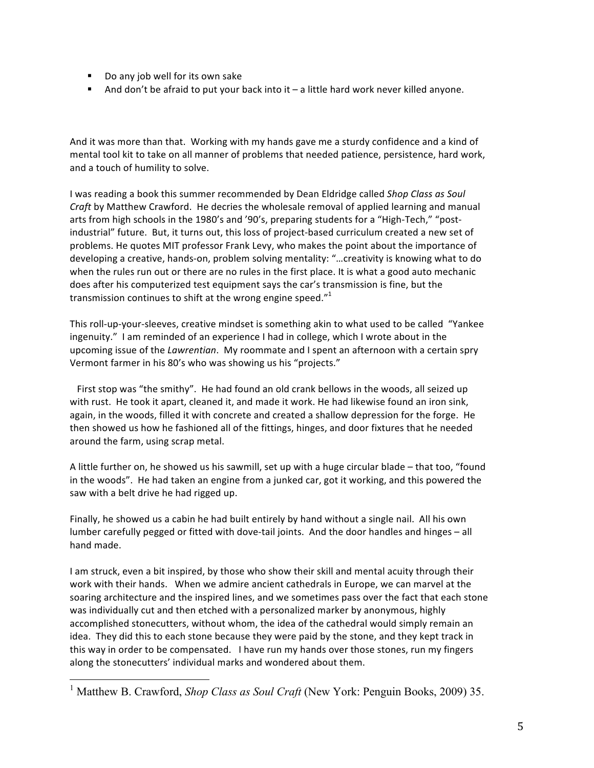- Do any job well for its own sake
- And don't be afraid to put your back into it  $-$  a little hard work never killed anyone.

And it was more than that. Working with my hands gave me a sturdy confidence and a kind of mental tool kit to take on all manner of problems that needed patience, persistence, hard work, and a touch of humility to solve.

I was reading a book this summer recommended by Dean Eldridge called *Shop Class as Soul Craft* by Matthew Crawford. He decries the wholesale removal of applied learning and manual arts from high schools in the 1980's and '90's, preparing students for a "High-Tech," "postindustrial" future. But, it turns out, this loss of project-based curriculum created a new set of problems. He quotes MIT professor Frank Levy, who makes the point about the importance of developing a creative, hands-on, problem solving mentality: "...creativity is knowing what to do when the rules run out or there are no rules in the first place. It is what a good auto mechanic does after his computerized test equipment says the car's transmission is fine, but the transmission continues to shift at the wrong engine speed." $1$ 

This roll-up-your-sleeves, creative mindset is something akin to what used to be called "Yankee ingenuity." I am reminded of an experience I had in college, which I wrote about in the upcoming issue of the *Lawrentian*. My roommate and I spent an afternoon with a certain spry Vermont farmer in his 80's who was showing us his "projects."

First stop was "the smithy". He had found an old crank bellows in the woods, all seized up with rust. He took it apart, cleaned it, and made it work. He had likewise found an iron sink, again, in the woods, filled it with concrete and created a shallow depression for the forge. He then showed us how he fashioned all of the fittings, hinges, and door fixtures that he needed around the farm, using scrap metal.

A little further on, he showed us his sawmill, set up with a huge circular blade – that too, "found in the woods". He had taken an engine from a junked car, got it working, and this powered the saw with a belt drive he had rigged up.

Finally, he showed us a cabin he had built entirely by hand without a single nail. All his own lumber carefully pegged or fitted with dove-tail joints. And the door handles and hinges – all hand made.

I am struck, even a bit inspired, by those who show their skill and mental acuity through their work with their hands. When we admire ancient cathedrals in Europe, we can marvel at the soaring architecture and the inspired lines, and we sometimes pass over the fact that each stone was individually cut and then etched with a personalized marker by anonymous, highly accomplished stonecutters, without whom, the idea of the cathedral would simply remain an idea. They did this to each stone because they were paid by the stone, and they kept track in this way in order to be compensated. I have run my hands over those stones, run my fingers along the stonecutters' individual marks and wondered about them.

<sup>&</sup>lt;sup>1</sup> Matthew B. Crawford, *Shop Class as Soul Craft* (New York: Penguin Books, 2009) 35.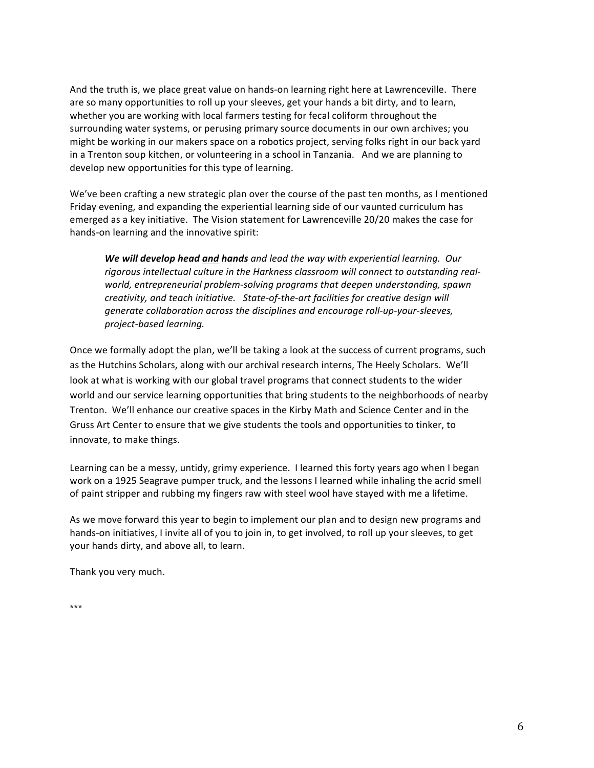And the truth is, we place great value on hands-on learning right here at Lawrenceville. There are so many opportunities to roll up your sleeves, get your hands a bit dirty, and to learn, whether you are working with local farmers testing for fecal coliform throughout the surrounding water systems, or perusing primary source documents in our own archives; you might be working in our makers space on a robotics project, serving folks right in our back yard in a Trenton soup kitchen, or volunteering in a school in Tanzania. And we are planning to develop new opportunities for this type of learning.

We've been crafting a new strategic plan over the course of the past ten months, as I mentioned Friday evening, and expanding the experiential learning side of our vaunted curriculum has emerged as a key initiative. The Vision statement for Lawrenceville 20/20 makes the case for hands-on learning and the innovative spirit:

**We will develop head and hands** and lead the way with experiential learning. Our rigorous intellectual culture in the Harkness classroom will connect to outstanding realworld, entrepreneurial problem-solving programs that deepen understanding, spawn *creativity, and teach initiative.* State-of-the-art facilities for creative design will *generate collaboration across the disciplines and encourage roll-up-your-sleeves, project-based learning.*

Once we formally adopt the plan, we'll be taking a look at the success of current programs, such as the Hutchins Scholars, along with our archival research interns, The Heely Scholars. We'll look at what is working with our global travel programs that connect students to the wider world and our service learning opportunities that bring students to the neighborhoods of nearby Trenton. We'll enhance our creative spaces in the Kirby Math and Science Center and in the Gruss Art Center to ensure that we give students the tools and opportunities to tinker, to innovate, to make things.

Learning can be a messy, untidy, grimy experience. I learned this forty years ago when I began work on a 1925 Seagrave pumper truck, and the lessons I learned while inhaling the acrid smell of paint stripper and rubbing my fingers raw with steel wool have stayed with me a lifetime.

As we move forward this year to begin to implement our plan and to design new programs and hands-on initiatives, I invite all of you to join in, to get involved, to roll up your sleeves, to get your hands dirty, and above all, to learn.

Thank you very much.

\*\*\*